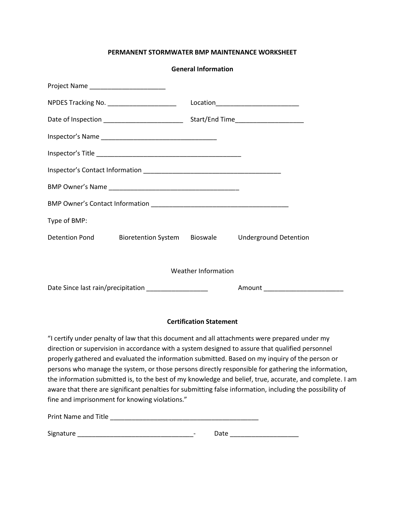### **PERMANENT STORMWATER BMP MAINTENANCE WORKSHEET**

|                                                                                  | <b>General Information</b>             |                                                                                                                                                                                                                                                                                                                                                                                                                                                                                                                                                                                                                                      |
|----------------------------------------------------------------------------------|----------------------------------------|--------------------------------------------------------------------------------------------------------------------------------------------------------------------------------------------------------------------------------------------------------------------------------------------------------------------------------------------------------------------------------------------------------------------------------------------------------------------------------------------------------------------------------------------------------------------------------------------------------------------------------------|
|                                                                                  |                                        |                                                                                                                                                                                                                                                                                                                                                                                                                                                                                                                                                                                                                                      |
| NPDES Tracking No. _________________________  Location__________________________ |                                        |                                                                                                                                                                                                                                                                                                                                                                                                                                                                                                                                                                                                                                      |
|                                                                                  |                                        |                                                                                                                                                                                                                                                                                                                                                                                                                                                                                                                                                                                                                                      |
|                                                                                  |                                        |                                                                                                                                                                                                                                                                                                                                                                                                                                                                                                                                                                                                                                      |
|                                                                                  |                                        |                                                                                                                                                                                                                                                                                                                                                                                                                                                                                                                                                                                                                                      |
|                                                                                  |                                        |                                                                                                                                                                                                                                                                                                                                                                                                                                                                                                                                                                                                                                      |
|                                                                                  |                                        |                                                                                                                                                                                                                                                                                                                                                                                                                                                                                                                                                                                                                                      |
|                                                                                  |                                        |                                                                                                                                                                                                                                                                                                                                                                                                                                                                                                                                                                                                                                      |
| Type of BMP:                                                                     |                                        |                                                                                                                                                                                                                                                                                                                                                                                                                                                                                                                                                                                                                                      |
| <b>Detention Pond</b>                                                            | <b>Bioretention System</b><br>Bioswale | <b>Underground Detention</b>                                                                                                                                                                                                                                                                                                                                                                                                                                                                                                                                                                                                         |
|                                                                                  | <b>Weather Information</b>             |                                                                                                                                                                                                                                                                                                                                                                                                                                                                                                                                                                                                                                      |
| Date Since last rain/precipitation                                               |                                        | Amount                                                                                                                                                                                                                                                                                                                                                                                                                                                                                                                                                                                                                               |
|                                                                                  |                                        |                                                                                                                                                                                                                                                                                                                                                                                                                                                                                                                                                                                                                                      |
|                                                                                  | <b>Certification Statement</b>         |                                                                                                                                                                                                                                                                                                                                                                                                                                                                                                                                                                                                                                      |
| fine and imprisonment for knowing violations."                                   |                                        | "I certify under penalty of law that this document and all attachments were prepared under my<br>direction or supervision in accordance with a system designed to assure that qualified personnel<br>properly gathered and evaluated the information submitted. Based on my inquiry of the person or<br>persons who manage the system, or those persons directly responsible for gathering the information,<br>the information submitted is, to the best of my knowledge and belief, true, accurate, and complete. I am<br>aware that there are significant penalties for submitting false information, including the possibility of |

Signature \_\_\_\_\_\_\_\_\_\_\_\_\_\_\_\_\_\_\_\_\_\_\_\_\_\_\_\_\_\_\_\_- Date \_\_\_\_\_\_\_\_\_\_\_\_\_\_\_\_\_\_\_

Print Name and Title \_\_\_\_\_\_\_\_\_\_\_\_\_\_\_\_\_\_\_\_\_\_\_\_\_\_\_\_\_\_\_\_\_\_\_\_\_\_\_\_\_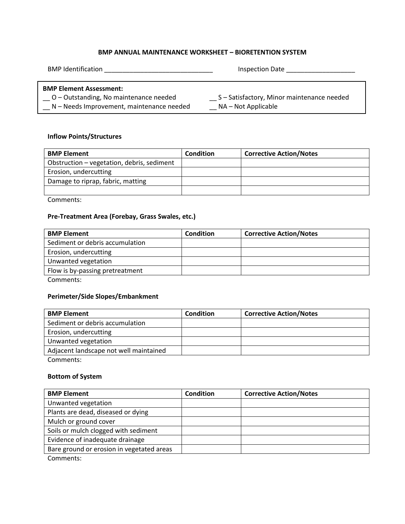## **BMP ANNUAL MAINTENANCE WORKSHEET – BIORETENTION SYSTEM**

| <b>BMP</b> Identification                                                                                             | Inspection Date                                                   |  |
|-----------------------------------------------------------------------------------------------------------------------|-------------------------------------------------------------------|--|
| <b>BMP Element Assessment:</b><br>O – Outstanding, No maintenance needed<br>N – Needs Improvement, maintenance needed | S – Satisfactory, Minor maintenance needed<br>NA – Not Applicable |  |

## **Inflow Points/Structures**

| <b>BMP Element</b>                         | Condition | <b>Corrective Action/Notes</b> |
|--------------------------------------------|-----------|--------------------------------|
| Obstruction - vegetation, debris, sediment |           |                                |
| Erosion, undercutting                      |           |                                |
| Damage to riprap, fabric, matting          |           |                                |
|                                            |           |                                |

Comments:

# **Pre-Treatment Area (Forebay, Grass Swales, etc.)**

| <b>BMP Element</b>              | Condition | <b>Corrective Action/Notes</b> |
|---------------------------------|-----------|--------------------------------|
| Sediment or debris accumulation |           |                                |
| Erosion, undercutting           |           |                                |
| Unwanted vegetation             |           |                                |
| Flow is by-passing pretreatment |           |                                |
|                                 |           |                                |

Comments:

## **Perimeter/Side Slopes/Embankment**

| <b>BMP Element</b>                     | <b>Condition</b> | <b>Corrective Action/Notes</b> |
|----------------------------------------|------------------|--------------------------------|
| Sediment or debris accumulation        |                  |                                |
| Erosion, undercutting                  |                  |                                |
| Unwanted vegetation                    |                  |                                |
| Adjacent landscape not well maintained |                  |                                |

Comments:

# **Bottom of System**

| <b>BMP Element</b>                        | Condition | <b>Corrective Action/Notes</b> |
|-------------------------------------------|-----------|--------------------------------|
| Unwanted vegetation                       |           |                                |
| Plants are dead, diseased or dying        |           |                                |
| Mulch or ground cover                     |           |                                |
| Soils or mulch clogged with sediment      |           |                                |
| Evidence of inadequate drainage           |           |                                |
| Bare ground or erosion in vegetated areas |           |                                |
| $C = 1$                                   |           |                                |

Comments: